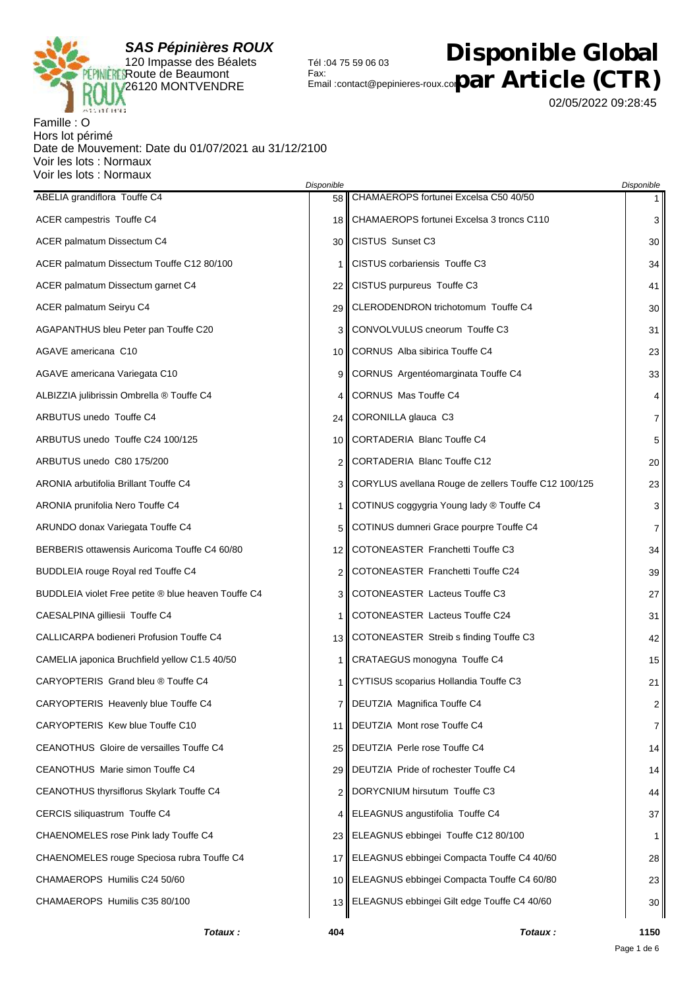

## $\mathcal{F}_{\mathsf{enail}: \mathsf{contact} @ \mathsf{pepinieres-roux.co} \mathbf{par} \ \mathsf{Article} \ (\mathsf{CTR})$ **Disponible Global**

02/05/2022 09:28:45

## Famille : O Hors lot périmé Date de Mouvement: Date du 01/07/2021 au 31/12/2100 Voir les lots : Normaux Voir les lots : Normaux

|                                                     | Disponible     |                                                      | Disponible     |
|-----------------------------------------------------|----------------|------------------------------------------------------|----------------|
| ABELIA grandiflora Touffe C4                        | 58             | CHAMAEROPS fortunei Excelsa C50 40/50                | $1 \vert$      |
| ACER campestris Touffe C4                           |                | 18    CHAMAEROPS fortunei Excelsa 3 troncs C110      | 3              |
| ACER palmatum Dissectum C4                          |                | 30 CISTUS Sunset C3                                  | 30             |
| ACER palmatum Dissectum Touffe C12 80/100           | 1              | <b>CISTUS corbariensis Touffe C3</b>                 | 34             |
| ACER palmatum Dissectum garnet C4                   |                | 22    CISTUS purpureus Touffe C3                     | 41             |
| ACER palmatum Seiryu C4                             |                | 29    CLERODENDRON trichotomum Touffe C4             | 30             |
| AGAPANTHUS bleu Peter pan Touffe C20                | 3              | CONVOLVULUS cneorum Touffe C3                        | 31             |
| AGAVE americana C10                                 |                | 10 CORNUS Alba sibirica Touffe C4                    | 23             |
| AGAVE americana Variegata C10                       | 9              | CORNUS Argentéomarginata Touffe C4                   | 33             |
| ALBIZZIA julibrissin Ombrella ® Touffe C4           | 4              | CORNUS Mas Touffe C4                                 | 4              |
| ARBUTUS unedo Touffe C4                             |                | 24   CORONILLA glauca C3                             | $\overline{7}$ |
| ARBUTUS unedo Touffe C24 100/125                    | 10 I           | CORTADERIA Blanc Touffe C4                           | 5              |
| ARBUTUS unedo C80 175/200                           | 2              | CORTADERIA Blanc Touffe C12                          | 20             |
| <b>ARONIA arbutifolia Brillant Touffe C4</b>        | 3              | CORYLUS avellana Rouge de zellers Touffe C12 100/125 | 23             |
| ARONIA prunifolia Nero Touffe C4                    | 1 <sup>1</sup> | COTINUS coggygria Young lady ® Touffe C4             | 3              |
| ARUNDO donax Variegata Touffe C4                    | 5              | COTINUS dumneri Grace pourpre Touffe C4              | $\overline{7}$ |
| BERBERIS ottawensis Auricoma Touffe C4 60/80        |                | 12 COTONEASTER Franchetti Touffe C3                  | 34             |
| <b>BUDDLEIA rouge Royal red Touffe C4</b>           | 2              | COTONEASTER Franchetti Touffe C24                    | 39             |
| BUDDLEIA violet Free petite ® blue heaven Touffe C4 | 3              | COTONEASTER Lacteus Touffe C3                        | 27             |
| CAESALPINA gilliesii Touffe C4                      | 1              | COTONEASTER Lacteus Touffe C24                       | 31             |
| CALLICARPA bodieneri Profusion Touffe C4            |                | 13   COTONEASTER Streib s finding Touffe C3          | 42             |
| CAMELIA japonica Bruchfield yellow C1.5 40/50       | 1              | CRATAEGUS monogyna Touffe C4                         | 15             |
| CARYOPTERIS Grand bleu ® Touffe C4                  | 1 <sup>1</sup> | CYTISUS scoparius Hollandia Touffe C3                | 21             |
| CARYOPTERIS Heavenly blue Touffe C4                 |                | 7   DEUTZIA Magnifica Touffe C4                      | $\overline{2}$ |
| CARYOPTERIS Kew blue Touffe C10                     | 11 I           | DEUTZIA Mont rose Touffe C4                          | $\overline{7}$ |
| CEANOTHUS Gloire de versailles Touffe C4            |                | 25   DEUTZIA Perle rose Touffe C4                    | 14             |
| CEANOTHUS Marie simon Touffe C4                     |                | 29    DEUTZIA Pride of rochester Touffe C4           | 14             |
| CEANOTHUS thyrsiflorus Skylark Touffe C4            |                | 2   DORYCNIUM hirsutum Touffe C3                     | 44             |
| CERCIS siliquastrum Touffe C4                       | 4 I            | ELEAGNUS angustifolia Touffe C4                      | 37             |
| CHAENOMELES rose Pink lady Touffe C4                |                | 23   ELEAGNUS ebbingei Touffe C12 80/100             | 1              |
| CHAENOMELES rouge Speciosa rubra Touffe C4          |                | 17   ELEAGNUS ebbingei Compacta Touffe C4 40/60      | 28             |
| CHAMAEROPS Humilis C24 50/60                        |                | 10   ELEAGNUS ebbingei Compacta Touffe C4 60/80      | 23             |
| CHAMAEROPS Humilis C35 80/100                       |                | 13   ELEAGNUS ebbingei Gilt edge Touffe C4 40/60     | 30             |
|                                                     |                |                                                      |                |

Tél :04 75 59 06 03

Fax: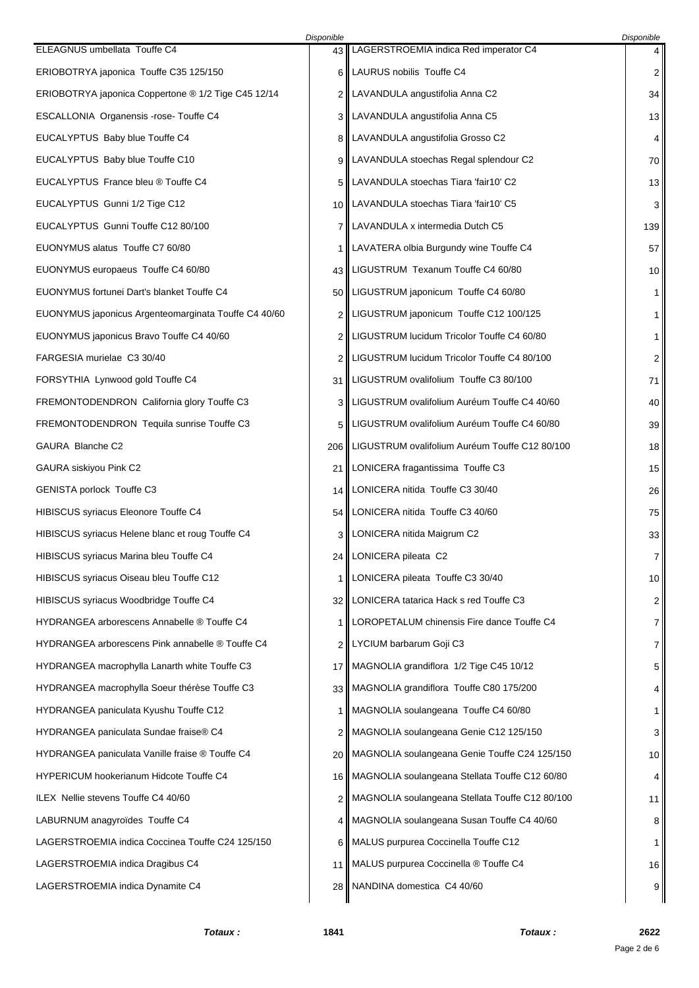|                                                      | Disponible |                                                      | Disponible     |
|------------------------------------------------------|------------|------------------------------------------------------|----------------|
| ELEAGNUS umbellata Touffe C4                         |            | 43    LAGERSTROEMIA indica Red imperator C4          | 4              |
| ERIOBOTRYA japonica Touffe C35 125/150               |            | 6   LAURUS nobilis Touffe C4                         | 2              |
| ERIOBOTRYA japonica Coppertone ® 1/2 Tige C45 12/14  |            | 2   LAVANDULA angustifolia Anna C2                   | 34             |
| ESCALLONIA Organensis -rose-Touffe C4                |            | 3    LAVANDULA angustifolia Anna C5                  | 13             |
| EUCALYPTUS Baby blue Touffe C4                       |            | 8   LAVANDULA angustifolia Grosso C2                 | 4              |
| EUCALYPTUS Baby blue Touffe C10                      |            | 9    LAVANDULA stoechas Regal splendour C2           | 70             |
| EUCALYPTUS France bleu ® Touffe C4                   |            | 5   LAVANDULA stoechas Tiara 'fair10' C2             | 13             |
| EUCALYPTUS Gunni 1/2 Tige C12                        |            | 10    LAVANDULA stoechas Tiara 'fair10' C5           | 3              |
| EUCALYPTUS Gunni Touffe C12 80/100                   |            | 7    LAVANDULA x intermedia Dutch C5                 | 139            |
| EUONYMUS alatus Touffe C7 60/80                      |            | 1    LAVATERA olbia Burgundy wine Touffe C4          | 57             |
| EUONYMUS europaeus Touffe C4 60/80                   |            | 43    LIGUSTRUM Texanum Touffe C4 60/80              | 10             |
| EUONYMUS fortunei Dart's blanket Touffe C4           |            | 50    LIGUSTRUM japonicum Touffe C4 60/80            | $\mathbf{1}$   |
| EUONYMUS japonicus Argenteomarginata Touffe C4 40/60 |            | 2   LIGUSTRUM japonicum Touffe C12 100/125           | $\mathbf{1}$   |
| EUONYMUS japonicus Bravo Touffe C4 40/60             |            | 2   LIGUSTRUM lucidum Tricolor Touffe C4 60/80       | 1              |
| FARGESIA murielae C3 30/40                           |            | 2   LIGUSTRUM lucidum Tricolor Touffe C4 80/100      | 2              |
| FORSYTHIA Lynwood gold Touffe C4                     |            | 31   LIGUSTRUM ovalifolium Touffe C3 80/100          | 71             |
| FREMONTODENDRON California glory Touffe C3           |            | 3   LIGUSTRUM ovalifolium Auréum Touffe C4 40/60     | 40             |
| FREMONTODENDRON Tequila sunrise Touffe C3            |            | 5   LIGUSTRUM ovalifolium Auréum Touffe C4 60/80     | 39             |
| GAURA Blanche C2                                     |            | 206   LIGUSTRUM ovalifolium Auréum Touffe C12 80/100 | 18             |
| GAURA siskiyou Pink C2                               | 21         | LONICERA fragantissima Touffe C3                     | 15             |
| GENISTA porlock Touffe C3                            |            | 14   LONICERA nitida Touffe C3 30/40                 | 26             |
| HIBISCUS syriacus Eleonore Touffe C4                 |            | 54   LONICERA nitida Touffe C3 40/60                 | 75             |
| HIBISCUS syriacus Helene blanc et roug Touffe C4     |            | 3   LONICERA nitida Maigrum C2                       | 33             |
| HIBISCUS syriacus Marina bleu Touffe C4              |            | 24   LONICERA pileata C2                             | 7              |
| HIBISCUS syriacus Oiseau bleu Touffe C12             |            | 1   LONICERA pileata Touffe C3 30/40                 | 10             |
| HIBISCUS syriacus Woodbridge Touffe C4               |            | 32   LONICERA tatarica Hack s red Touffe C3          | $\overline{2}$ |
| HYDRANGEA arborescens Annabelle ® Touffe C4          | 1          | LOROPETALUM chinensis Fire dance Touffe C4           | 7              |
| HYDRANGEA arborescens Pink annabelle ® Touffe C4     |            | 2   LYCIUM barbarum Goji C3                          | 7              |
| HYDRANGEA macrophylla Lanarth white Touffe C3        |            | 17    MAGNOLIA grandiflora 1/2 Tige C45 10/12        | 5              |
| HYDRANGEA macrophylla Soeur thérèse Touffe C3        |            | 33    MAGNOLIA grandiflora Touffe C80 175/200        | 4              |
| HYDRANGEA paniculata Kyushu Touffe C12               |            | 1    MAGNOLIA soulangeana Touffe C4 60/80            | $\mathbf 1$    |
| HYDRANGEA paniculata Sundae fraise® C4               |            | 2    MAGNOLIA soulangeana Genie C12 125/150          | 3              |
| HYDRANGEA paniculata Vanille fraise ® Touffe C4      |            | 20    MAGNOLIA soulangeana Genie Touffe C24 125/150  | 10             |
| <b>HYPERICUM hookerianum Hidcote Touffe C4</b>       |            | 16    MAGNOLIA soulangeana Stellata Touffe C12 60/80 | 4              |
| ILEX Nellie stevens Touffe C4 40/60                  |            | 2    MAGNOLIA soulangeana Stellata Touffe C12 80/100 | 11             |
| LABURNUM anagyroïdes Touffe C4                       |            | 4    MAGNOLIA soulangeana Susan Touffe C4 40/60      | 8              |
| LAGERSTROEMIA indica Coccinea Touffe C24 125/150     |            | 6    MALUS purpurea Coccinella Touffe C12            | $\mathbf{1}$   |
| LAGERSTROEMIA indica Dragibus C4                     |            | 11    MALUS purpurea Coccinella ® Touffe C4          | 16             |
| LAGERSTROEMIA indica Dynamite C4                     |            | 28    NANDINA domestica C4 40/60                     | 9              |
|                                                      |            |                                                      |                |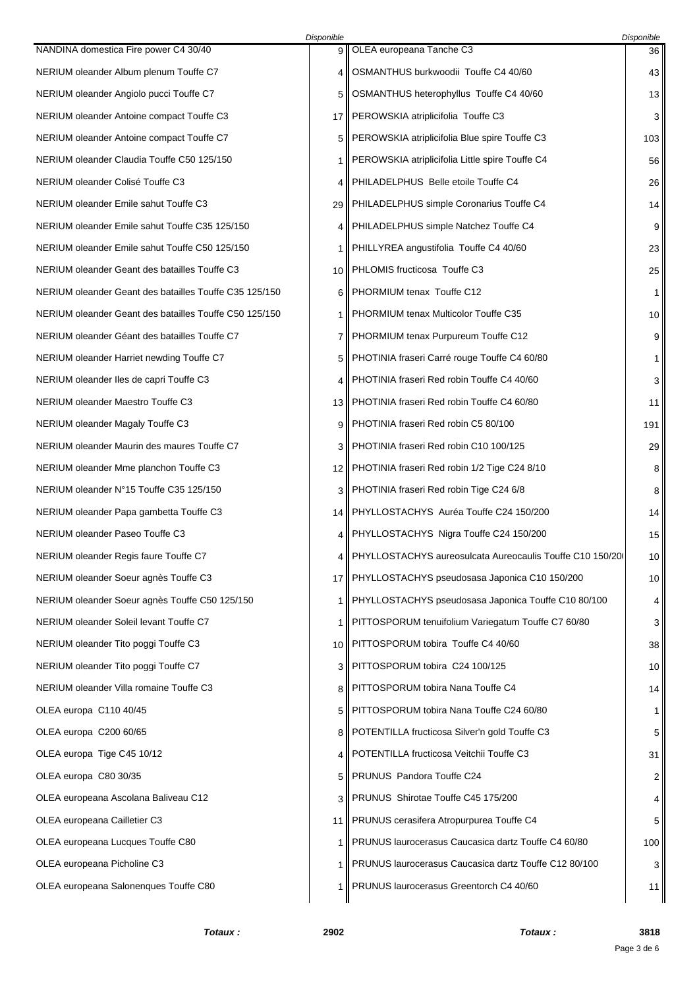|                                                        | Disponible |                                                           | Disponible |
|--------------------------------------------------------|------------|-----------------------------------------------------------|------------|
| NANDINA domestica Fire power C4 30/40                  | 9          | OLEA europeana Tanche C3                                  | 36         |
| NERIUM oleander Album plenum Touffe C7                 | 4          | OSMANTHUS burkwoodii Touffe C4 40/60                      | 43         |
| NERIUM oleander Angiolo pucci Touffe C7                | 5          | OSMANTHUS heterophyllus Touffe C4 40/60                   | 13         |
| NERIUM oleander Antoine compact Touffe C3              | 17         | PEROWSKIA atriplicifolia Touffe C3                        | 3          |
| NERIUM oleander Antoine compact Touffe C7              | 5          | PEROWSKIA atriplicifolia Blue spire Touffe C3             | 103        |
| NERIUM oleander Claudia Touffe C50 125/150             | 1          | PEROWSKIA atriplicifolia Little spire Touffe C4           | 56         |
| NERIUM oleander Colisé Touffe C3                       | 4          | PHILADELPHUS Belle etoile Touffe C4                       | 26         |
| NERIUM oleander Emile sahut Touffe C3                  | 29 I       | PHILADELPHUS simple Coronarius Touffe C4                  | 14         |
| NERIUM oleander Emile sahut Touffe C35 125/150         | 4          | PHILADELPHUS simple Natchez Touffe C4                     | 9          |
| NERIUM oleander Emile sahut Touffe C50 125/150         | 1          | PHILLYREA angustifolia Touffe C4 40/60                    | 23         |
| NERIUM oleander Geant des batailles Touffe C3          | 10         | PHLOMIS fructicosa Touffe C3                              | 25         |
| NERIUM oleander Geant des batailles Touffe C35 125/150 | 6          | PHORMIUM tenax Touffe C12                                 | 1          |
| NERIUM oleander Geant des batailles Touffe C50 125/150 | 1          | PHORMIUM tenax Multicolor Touffe C35                      | 10         |
| NERIUM oleander Géant des batailles Touffe C7          | 7          | PHORMIUM tenax Purpureum Touffe C12                       | 9          |
| NERIUM oleander Harriet newding Touffe C7              | 5          | PHOTINIA fraseri Carré rouge Touffe C4 60/80              | 1          |
| NERIUM oleander Iles de capri Touffe C3                | 4          | PHOTINIA fraseri Red robin Touffe C4 40/60                | 3          |
| NERIUM oleander Maestro Touffe C3                      | 13         | PHOTINIA fraseri Red robin Touffe C4 60/80                | 11         |
| NERIUM oleander Magaly Touffe C3                       | 9          | PHOTINIA fraseri Red robin C5 80/100                      | 191        |
| NERIUM oleander Maurin des maures Touffe C7            | 3          | PHOTINIA fraseri Red robin C10 100/125                    | 29         |
| NERIUM oleander Mme planchon Touffe C3                 | 12         | PHOTINIA fraseri Red robin 1/2 Tige C24 8/10              | 8          |
| NERIUM oleander N°15 Touffe C35 125/150                | 3          | PHOTINIA fraseri Red robin Tige C24 6/8                   | 8          |
| NERIUM oleander Papa gambetta Touffe C3                | 14         | PHYLLOSTACHYS Auréa Touffe C24 150/200                    | 14         |
| NERIUM oleander Paseo Touffe C3                        | 4          | PHYLLOSTACHYS Nigra Touffe C24 150/200                    | 15         |
| NERIUM oleander Regis faure Touffe C7                  |            | PHYLLOSTACHYS aureosulcata Aureocaulis Touffe C10 150/200 | 10         |
| NERIUM oleander Soeur agnès Touffe C3                  | 17 II      | PHYLLOSTACHYS pseudosasa Japonica C10 150/200             | 10         |
| NERIUM oleander Soeur agnès Touffe C50 125/150         | 1          | PHYLLOSTACHYS pseudosasa Japonica Touffe C10 80/100       | 4          |
| NERIUM oleander Soleil levant Touffe C7                | 1          | PITTOSPORUM tenuifolium Variegatum Touffe C7 60/80        | 3          |
| NERIUM oleander Tito poggi Touffe C3                   | 10         | PITTOSPORUM tobira Touffe C4 40/60                        | 38         |
| NERIUM oleander Tito poggi Touffe C7                   | 3          | PITTOSPORUM tobira C24 100/125                            | 10         |
| NERIUM oleander Villa romaine Touffe C3                | 8          | PITTOSPORUM tobira Nana Touffe C4                         | 14         |
| OLEA europa C110 40/45                                 | 5          | PITTOSPORUM tobira Nana Touffe C24 60/80                  | 1          |
| OLEA europa C200 60/65                                 | 8          | POTENTILLA fructicosa Silver'n gold Touffe C3             | 5          |
| OLEA europa Tige C45 10/12                             | 4          | POTENTILLA fructicosa Veitchii Touffe C3                  | 31         |
| OLEA europa C80 30/35                                  | 5          | PRUNUS Pandora Touffe C24                                 | 2          |
| OLEA europeana Ascolana Baliveau C12                   | 3          | PRUNUS Shirotae Touffe C45 175/200                        | 4          |
| OLEA europeana Cailletier C3                           | 11         | PRUNUS cerasifera Atropurpurea Touffe C4                  | 5          |
| OLEA europeana Lucques Touffe C80                      | 1          | PRUNUS laurocerasus Caucasica dartz Touffe C4 60/80       | 100        |
| OLEA europeana Picholine C3                            | 1          | PRUNUS laurocerasus Caucasica dartz Touffe C12 80/100     | 3          |
| OLEA europeana Salonenques Touffe C80                  | 1          | PRUNUS laurocerasus Greentorch C4 40/60                   | 11         |
|                                                        |            |                                                           |            |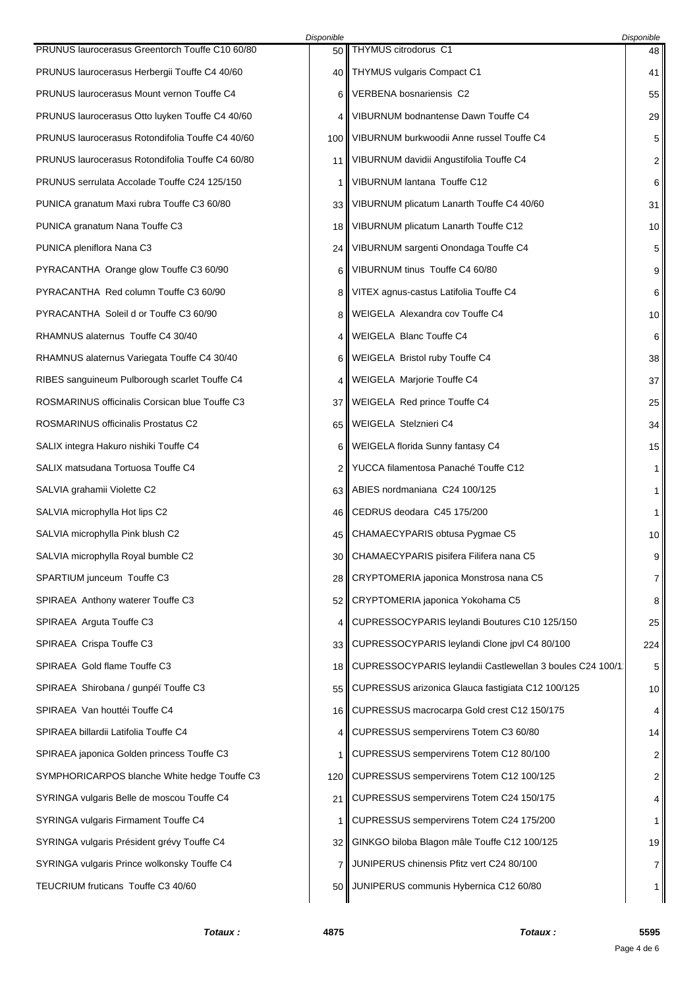|                                                   | Disponible |                                                            | Disponible |
|---------------------------------------------------|------------|------------------------------------------------------------|------------|
| PRUNUS laurocerasus Greentorch Touffe C10 60/80   | 50         | THYMUS citrodorus C1                                       | 48         |
| PRUNUS laurocerasus Herbergii Touffe C4 40/60     | 40         | <b>THYMUS vulgaris Compact C1</b>                          | 41         |
| <b>PRUNUS laurocerasus Mount vernon Touffe C4</b> | 6          | VERBENA bosnariensis C2                                    | 55         |
| PRUNUS laurocerasus Otto luyken Touffe C4 40/60   | 4          | VIBURNUM bodnantense Dawn Touffe C4                        | 29         |
| PRUNUS laurocerasus Rotondifolia Touffe C4 40/60  | 100        | VIBURNUM burkwoodii Anne russel Touffe C4                  | 5          |
| PRUNUS laurocerasus Rotondifolia Touffe C4 60/80  | 11         | VIBURNUM davidii Angustifolia Touffe C4                    | 2          |
| PRUNUS serrulata Accolade Touffe C24 125/150      | 1          | VIBURNUM lantana Touffe C12                                | 6          |
| PUNICA granatum Maxi rubra Touffe C3 60/80        | 33         | VIBURNUM plicatum Lanarth Touffe C4 40/60                  | 31         |
| PUNICA granatum Nana Touffe C3                    | 18         | VIBURNUM plicatum Lanarth Touffe C12                       | 10         |
| PUNICA pleniflora Nana C3                         | 24         | VIBURNUM sargenti Onondaga Touffe C4                       | 5          |
| PYRACANTHA Orange glow Touffe C3 60/90            | 6          | VIBURNUM tinus Touffe C4 60/80                             | 9          |
| PYRACANTHA Red column Touffe C3 60/90             | 8          | VITEX agnus-castus Latifolia Touffe C4                     | 6          |
| PYRACANTHA Soleil d or Touffe C3 60/90            | 8          | WEIGELA Alexandra cov Touffe C4                            | 10         |
| RHAMNUS alaternus Touffe C4 30/40                 | 4          | WEIGELA Blanc Touffe C4                                    | 6          |
| RHAMNUS alaternus Variegata Touffe C4 30/40       | 6          | WEIGELA Bristol ruby Touffe C4                             | 38         |
| RIBES sanguineum Pulborough scarlet Touffe C4     | 4          | WEIGELA Marjorie Touffe C4                                 | 37         |
| ROSMARINUS officinalis Corsican blue Touffe C3    | 37         | WEIGELA Red prince Touffe C4                               | 25         |
| ROSMARINUS officinalis Prostatus C2               | 65         | WEIGELA Stelznieri C4                                      | 34         |
| SALIX integra Hakuro nishiki Touffe C4            | 6          | WEIGELA florida Sunny fantasy C4                           | 15         |
| SALIX matsudana Tortuosa Touffe C4                | 2          | YUCCA filamentosa Panaché Touffe C12                       | 1          |
| SALVIA grahamii Violette C2                       | 63         | ABIES nordmaniana C24 100/125                              | 1          |
| SALVIA microphylla Hot lips C2                    | 46         | CEDRUS deodara C45 175/200                                 | 1          |
| SALVIA microphylla Pink blush C2                  | 45         | CHAMAECYPARIS obtusa Pygmae C5                             | 10         |
| SALVIA microphylla Royal bumble C2                |            | 30   CHAMAECYPARIS pisifera Filifera nana C5               | 9          |
| SPARTIUM junceum Touffe C3                        | 28         | CRYPTOMERIA japonica Monstrosa nana C5                     | 7          |
| SPIRAEA Anthony waterer Touffe C3                 |            | 52    CRYPTOMERIA japonica Yokohama C5                     | 8          |
| SPIRAEA Arguta Touffe C3                          | 4          | CUPRESSOCYPARIS leylandi Boutures C10 125/150              | 25         |
| SPIRAEA Crispa Touffe C3                          | 33         | CUPRESSOCYPARIS leylandi Clone jpvl C4 80/100              | 224        |
| SPIRAEA Gold flame Touffe C3                      | 18 I       | CUPRESSOCYPARIS leylandii Castlewellan 3 boules C24 100/1: | 5          |
| SPIRAEA Shirobana / gunpéï Touffe C3              | 55         | CUPRESSUS arizonica Glauca fastigiata C12 100/125          | 10         |
| SPIRAEA Van houttéi Touffe C4                     | 16 I       | CUPRESSUS macrocarpa Gold crest C12 150/175                | 4          |
| SPIRAEA billardii Latifolia Touffe C4             | 4          | CUPRESSUS sempervirens Totem C3 60/80                      | 14         |
| SPIRAEA japonica Golden princess Touffe C3        | 1          | CUPRESSUS sempervirens Totem C12 80/100                    | 2          |
| SYMPHORICARPOS blanche White hedge Touffe C3      | 120        | CUPRESSUS sempervirens Totem C12 100/125                   | 2          |
| SYRINGA vulgaris Belle de moscou Touffe C4        | 21         | CUPRESSUS sempervirens Totem C24 150/175                   | 4          |
| SYRINGA vulgaris Firmament Touffe C4              | 1          | CUPRESSUS sempervirens Totem C24 175/200                   | 1          |
| SYRINGA vulgaris Président grévy Touffe C4        | 32 I       | GINKGO biloba Blagon mâle Touffe C12 100/125               | 19         |
| SYRINGA vulgaris Prince wolkonsky Touffe C4       | 7          | JUNIPERUS chinensis Pfitz vert C24 80/100                  | 7          |
| TEUCRIUM fruticans Touffe C3 40/60                | 50 I       | JUNIPERUS communis Hybernica C12 60/80                     | 1          |
|                                                   |            |                                                            |            |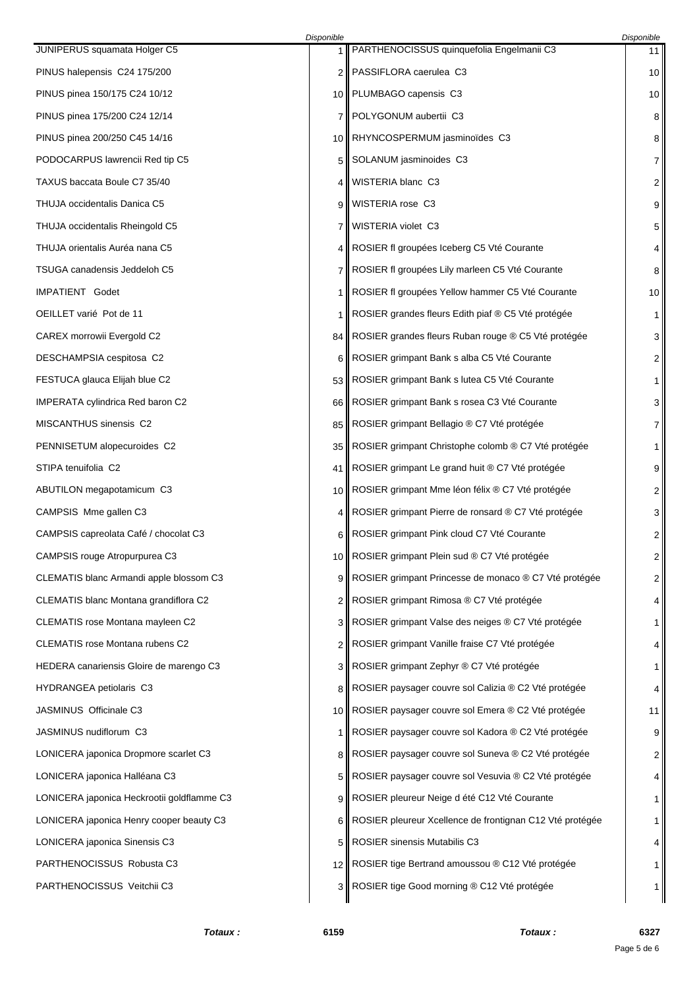|                                            | Disponible |                                                          | Disponible   |
|--------------------------------------------|------------|----------------------------------------------------------|--------------|
| JUNIPERUS squamata Holger C5               | 1          | PARTHENOCISSUS quinquefolia Engelmanii C3                | 11           |
| PINUS halepensis C24 175/200               | 2          | PASSIFLORA caerulea C3                                   | 10           |
| PINUS pinea 150/175 C24 10/12              |            | 10    PLUMBAGO capensis C3                               | 10           |
| PINUS pinea 175/200 C24 12/14              | 7          | POLYGONUM aubertii C3                                    | 8            |
| PINUS pinea 200/250 C45 14/16              | 10         | RHYNCOSPERMUM jasminoïdes C3                             | 8            |
| PODOCARPUS lawrencii Red tip C5            | 5          | SOLANUM jasminoides C3                                   | 7            |
| TAXUS baccata Boule C7 35/40               | 4          | WISTERIA blanc C3                                        | 2            |
| THUJA occidentalis Danica C5               | 9          | WISTERIA rose C3                                         | 9            |
| THUJA occidentalis Rheingold C5            | 7          | WISTERIA violet C3                                       | 5            |
| THUJA orientalis Auréa nana C5             | 4          | ROSIER fl groupées Iceberg C5 Vté Courante               | 4            |
| TSUGA canadensis Jeddeloh C5               | 7          | ROSIER fl groupées Lily marleen C5 Vté Courante          | 8            |
| IMPATIENT Godet                            | 1          | ROSIER fl groupées Yellow hammer C5 Vté Courante         | 10           |
| OEILLET varié Pot de 11                    | 1          | ROSIER grandes fleurs Edith piaf ® C5 Vté protégée       | 1            |
| CAREX morrowii Evergold C2                 | 84 II      | ROSIER grandes fleurs Ruban rouge ® C5 Vté protégée      | 3            |
| DESCHAMPSIA cespitosa C2                   | 6          | ROSIER grimpant Bank s alba C5 Vté Courante              | 2            |
| FESTUCA glauca Elijah blue C2              | 53 I       | ROSIER grimpant Bank s lutea C5 Vté Courante             | 1            |
| <b>IMPERATA cylindrica Red baron C2</b>    | 66         | ROSIER grimpant Bank s rosea C3 Vté Courante             | 3            |
| MISCANTHUS sinensis C2                     | 85         | ROSIER grimpant Bellagio ® C7 Vté protégée               | 7            |
| PENNISETUM alopecuroides C2                | 35         | ROSIER grimpant Christophe colomb ® C7 Vté protégée      | 1            |
| STIPA tenuifolia C2                        | 41         | ROSIER grimpant Le grand huit ® C7 Vté protégée          | 9            |
| ABUTILON megapotamicum C3                  | 10         | ROSIER grimpant Mme léon félix ® C7 Vté protégée         | 2            |
| CAMPSIS Mme gallen C3                      | 4          | ROSIER grimpant Pierre de ronsard ® C7 Vté protégée      | 3            |
| CAMPSIS capreolata Café / chocolat C3      | 6          | ROSIER grimpant Pink cloud C7 Vté Courante               | 2            |
| CAMPSIS rouge Atropurpurea C3              |            | 10    ROSIER grimpant Plein sud ® C7 Vté protégée        | 2            |
| CLEMATIS blanc Armandi apple blossom C3    | 9          | ROSIER grimpant Princesse de monaco ® C7 Vté protégée    | 2            |
| CLEMATIS blanc Montana grandiflora C2      | 2          | ROSIER grimpant Rimosa ® C7 Vté protégée                 | 4            |
| CLEMATIS rose Montana mayleen C2           | 3          | ROSIER grimpant Valse des neiges ® C7 Vté protégée       | 1            |
| CLEMATIS rose Montana rubens C2            | 2          | ROSIER grimpant Vanille fraise C7 Vté protégée           | 4            |
| HEDERA canariensis Gloire de marengo C3    | 3          | ROSIER grimpant Zephyr ® C7 Vté protégée                 | $\mathbf{1}$ |
| HYDRANGEA petiolaris C3                    | 8          | ROSIER paysager couvre sol Calizia ® C2 Vté protégée     | 4            |
| JASMINUS Officinale C3                     | 10 II      | ROSIER paysager couvre sol Emera ® C2 Vté protégée       | 11           |
| JASMINUS nudiflorum C3                     | 1          | ROSIER paysager couvre sol Kadora ® C2 Vté protégée      | 9            |
| LONICERA japonica Dropmore scarlet C3      | 8          | ROSIER paysager couvre sol Suneva ® C2 Vté protégée      | 2            |
| LONICERA japonica Halléana C3              | 5          | ROSIER paysager couvre sol Vesuvia ® C2 Vté protégée     | 4            |
| LONICERA japonica Heckrootii goldflamme C3 | 9          | ROSIER pleureur Neige d été C12 Vté Courante             | 1            |
| LONICERA japonica Henry cooper beauty C3   | 6          | ROSIER pleureur Xcellence de frontignan C12 Vté protégée | 1            |
| LONICERA japonica Sinensis C3              | 5          | <b>ROSIER sinensis Mutabilis C3</b>                      | 4            |
| PARTHENOCISSUS Robusta C3                  | 12 II      | ROSIER tige Bertrand amoussou ® C12 Vté protégée         | 1            |
| PARTHENOCISSUS Veitchii C3                 | 3 II       | ROSIER tige Good morning ® C12 Vté protégée              | 1            |
|                                            |            |                                                          |              |